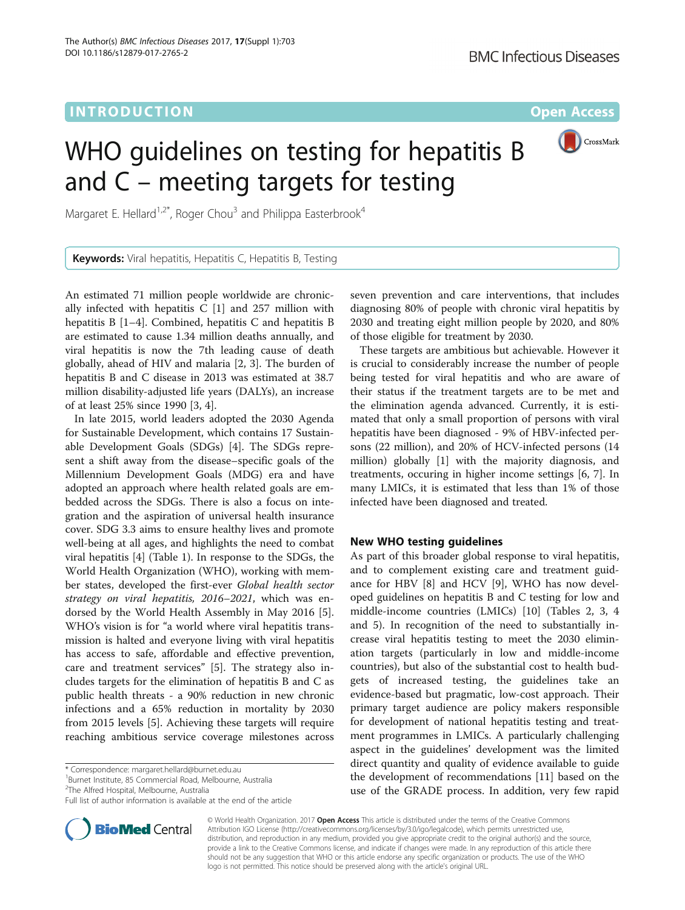# **INTRODUCTION CONSUMING THE OPEN ACCESS**



# WHO guidelines on testing for hepatitis B and C – meeting targets for testing

Margaret E. Hellard<sup>1,2\*</sup>, Roger Chou<sup>3</sup> and Philippa Easterbrook<sup>4</sup>

Keywords: Viral hepatitis, Hepatitis C, Hepatitis B, Testing

An estimated 71 million people worldwide are chronically infected with hepatitis C [[1\]](#page-5-0) and 257 million with hepatitis B [\[1](#page-5-0)–[4\]](#page-5-0). Combined, hepatitis C and hepatitis B are estimated to cause 1.34 million deaths annually, and viral hepatitis is now the 7th leading cause of death globally, ahead of HIV and malaria [[2, 3](#page-5-0)]. The burden of hepatitis B and C disease in 2013 was estimated at 38.7 million disability-adjusted life years (DALYs), an increase of at least 25% since 1990 [\[3](#page-5-0), [4](#page-5-0)].

In late 2015, world leaders adopted the 2030 Agenda for Sustainable Development, which contains 17 Sustainable Development Goals (SDGs) [\[4](#page-5-0)]. The SDGs represent a shift away from the disease–specific goals of the Millennium Development Goals (MDG) era and have adopted an approach where health related goals are embedded across the SDGs. There is also a focus on integration and the aspiration of universal health insurance cover. SDG 3.3 aims to ensure healthy lives and promote well-being at all ages, and highlights the need to combat viral hepatitis [\[4](#page-5-0)] (Table [1\)](#page-1-0). In response to the SDGs, the World Health Organization (WHO), working with member states, developed the first-ever Global health sector strategy on viral hepatitis, 2016–2021, which was endorsed by the World Health Assembly in May 2016 [\[5](#page-6-0)]. WHO's vision is for "a world where viral hepatitis transmission is halted and everyone living with viral hepatitis has access to safe, affordable and effective prevention, care and treatment services" [\[5](#page-6-0)]. The strategy also includes targets for the elimination of hepatitis B and C as public health threats - a 90% reduction in new chronic infections and a 65% reduction in mortality by 2030 from 2015 levels [\[5](#page-6-0)]. Achieving these targets will require reaching ambitious service coverage milestones across

\* Correspondence: [margaret.hellard@burnet.edu.au](mailto:margaret.hellard@burnet.edu.au) <sup>1</sup>

<sup>1</sup>Burnet Institute, 85 Commercial Road, Melbourne, Australia

<sup>2</sup>The Alfred Hospital, Melbourne, Australia

Full list of author information is available at the end of the article



seven prevention and care interventions, that includes diagnosing 80% of people with chronic viral hepatitis by 2030 and treating eight million people by 2020, and 80% of those eligible for treatment by 2030.

These targets are ambitious but achievable. However it is crucial to considerably increase the number of people being tested for viral hepatitis and who are aware of their status if the treatment targets are to be met and the elimination agenda advanced. Currently, it is estimated that only a small proportion of persons with viral hepatitis have been diagnosed - 9% of HBV-infected persons (22 million), and 20% of HCV-infected persons (14 million) globally [[1\]](#page-5-0) with the majority diagnosis, and treatments, occuring in higher income settings [[6, 7](#page-6-0)]. In many LMICs, it is estimated that less than 1% of those infected have been diagnosed and treated.

# New WHO testing guidelines

As part of this broader global response to viral hepatitis, and to complement existing care and treatment guidance for HBV [[8\]](#page-6-0) and HCV [[9\]](#page-6-0), WHO has now developed guidelines on hepatitis B and C testing for low and middle-income countries (LMICs) [\[10](#page-6-0)] (Tables [2](#page-1-0), [3,](#page-2-0) [4](#page-3-0) and [5](#page-4-0)). In recognition of the need to substantially increase viral hepatitis testing to meet the 2030 elimination targets (particularly in low and middle-income countries), but also of the substantial cost to health budgets of increased testing, the guidelines take an evidence-based but pragmatic, low-cost approach. Their primary target audience are policy makers responsible for development of national hepatitis testing and treatment programmes in LMICs. A particularly challenging aspect in the guidelines' development was the limited direct quantity and quality of evidence available to guide the development of recommendations [[11\]](#page-6-0) based on the use of the GRADE process. In addition, very few rapid

© World Health Organization. 2017 Open Access This article is distributed under the terms of the Creative Commons Attribution IGO License [\(http://creativecommons.org/licenses/by/3.0/igo/legalcode](http://creativecommons.org/licenses/by/3.0/igo/legalcode)), which permits unrestricted use, distribution, and reproduction in any medium, provided you give appropriate credit to the original author(s) and the source, provide a link to the Creative Commons license, and indicate if changes were made. In any reproduction of this article there should not be any suggestion that WHO or this article endorse any specific organization or products. The use of the WHO logo is not permitted. This notice should be preserved along with the article's original URL.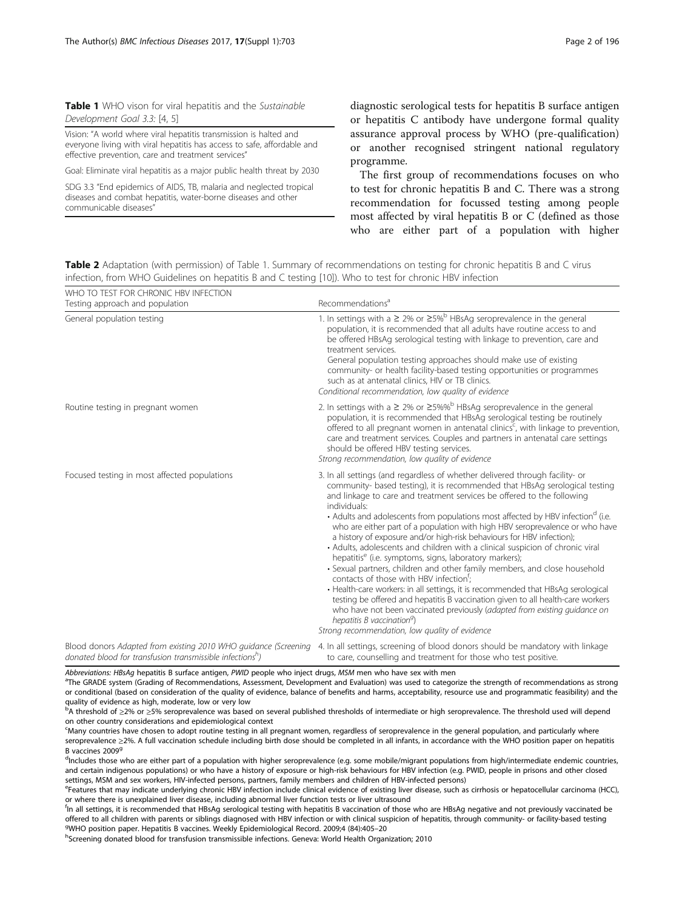<span id="page-1-0"></span>Table 1 WHO vison for viral hepatitis and the Sustainable Development Goal 3.3: [\[4,](#page-5-0) [5](#page-6-0)]

Vision: "A world where viral hepatitis transmission is halted and everyone living with viral hepatitis has access to safe, affordable and effective prevention, care and treatment services"

Goal: Eliminate viral hepatitis as a major public health threat by 2030

SDG 3.3 "End epidemics of AIDS, TB, malaria and neglected tropical diseases and combat hepatitis, water-borne diseases and other communicable diseases"

diagnostic serological tests for hepatitis B surface antigen or hepatitis C antibody have undergone formal quality assurance approval process by WHO (pre-qualification) or another recognised stringent national regulatory programme.

The first group of recommendations focuses on who to test for chronic hepatitis B and C. There was a strong recommendation for focussed testing among people most affected by viral hepatitis B or C (defined as those who are either part of a population with higher

Table 2 Adaptation (with permission) of Table 1. Summary of recommendations on testing for chronic hepatitis B and C virus infection, from WHO Guidelines on hepatitis B and C testing [\[10\]](#page-6-0)). Who to test for chronic HBV infection

| WHO TO TEST FOR CHRONIC HBV INFECTION<br>Testing approach and population                                                                 | Recommendations <sup>a</sup>                                                                                                                                                                                                                                                                                                                                                                                                                                                                                                                                                                                                                                                                                                                                                                                                                                                                                                                                                                                                                                                                                                                              |
|------------------------------------------------------------------------------------------------------------------------------------------|-----------------------------------------------------------------------------------------------------------------------------------------------------------------------------------------------------------------------------------------------------------------------------------------------------------------------------------------------------------------------------------------------------------------------------------------------------------------------------------------------------------------------------------------------------------------------------------------------------------------------------------------------------------------------------------------------------------------------------------------------------------------------------------------------------------------------------------------------------------------------------------------------------------------------------------------------------------------------------------------------------------------------------------------------------------------------------------------------------------------------------------------------------------|
| General population testing                                                                                                               | 1. In settings with a $\geq$ 2% or $\geq$ 5% <sup>b</sup> HBsAg seroprevalence in the general<br>population, it is recommended that all adults have routine access to and<br>be offered HBsAg serological testing with linkage to prevention, care and<br>treatment services.<br>General population testing approaches should make use of existing<br>community- or health facility-based testing opportunities or programmes<br>such as at antenatal clinics, HIV or TB clinics.<br>Conditional recommendation, low quality of evidence                                                                                                                                                                                                                                                                                                                                                                                                                                                                                                                                                                                                                  |
| Routine testing in pregnant women                                                                                                        | 2. In settings with a $\geq$ 2% or $\geq$ 5%% <sup>b</sup> HBsAg seroprevalence in the general<br>population, it is recommended that HBsAq serological testing be routinely<br>offered to all pregnant women in antenatal clinics <sup>c</sup> , with linkage to prevention,<br>care and treatment services. Couples and partners in antenatal care settings<br>should be offered HBV testing services.<br>Strong recommendation, low quality of evidence                                                                                                                                                                                                                                                                                                                                                                                                                                                                                                                                                                                                                                                                                                 |
| Focused testing in most affected populations                                                                                             | 3. In all settings (and regardless of whether delivered through facility- or<br>community- based testing), it is recommended that HBsAg serological testing<br>and linkage to care and treatment services be offered to the following<br>individuals:<br>• Adults and adolescents from populations most affected by HBV infection <sup>d</sup> (i.e.<br>who are either part of a population with high HBV seroprevalence or who have<br>a history of exposure and/or high-risk behaviours for HBV infection);<br>• Adults, adolescents and children with a clinical suspicion of chronic viral<br>hepatitis <sup>e</sup> (i.e. symptoms, signs, laboratory markers);<br>· Sexual partners, children and other family members, and close household<br>contacts of those with HBV infection <sup>t</sup> ;<br>• Health-care workers: in all settings, it is recommended that HBsAg serological<br>testing be offered and hepatitis B vaccination given to all health-care workers<br>who have not been vaccinated previously (adapted from existing quidance on<br>hepatitis B vaccination <sup>9</sup> )<br>Strong recommendation, low quality of evidence |
| Blood donors Adapted from existing 2010 WHO guidance (Screening<br>donated blood for transfusion transmissible infections <sup>h</sup> ) | 4. In all settings, screening of blood donors should be mandatory with linkage<br>to care, counselling and treatment for those who test positive.                                                                                                                                                                                                                                                                                                                                                                                                                                                                                                                                                                                                                                                                                                                                                                                                                                                                                                                                                                                                         |

donated blood for transfusion transmissible infections<sup>h</sup>)

Abbreviations: HBsAg hepatitis B surface antigen, PWID people who inject drugs, MSM men who have sex with men

<sup>a</sup>The GRADE system (Grading of Recommendations, Assessment, Development and Evaluation) was used to categorize the strength of recommendations as strong or conditional (based on consideration of the quality of evidence, balance of benefits and harms, acceptability, resource use and programmatic feasibility) and the quality of evidence as high, moderate, low or very low

b A threshold of ≥2% or ≥5% seroprevalence was based on several published thresholds of intermediate or high seroprevalence. The threshold used will depend on other country considerations and epidemiological context

c Many countries have chosen to adopt routine testing in all pregnant women, regardless of seroprevalence in the general population, and particularly where seroprevalence ≥2%. A full vaccination schedule including birth dose should be completed in all infants, in accordance with the WHO position paper on hepatitis B vaccines 2009<sup>9</sup>

<sup>d</sup>Includes those who are either part of a population with higher seroprevalence (e.g. some mobile/migrant populations from high/intermediate endemic countries, and certain indigenous populations) or who have a history of exposure or high-risk behaviours for HBV infection (e.g. PWID, people in prisons and other closed settings, MSM and sex workers, HIV-infected persons, partners, family members and children of HBV-infected persons)

e<br>Features that may indicate underlying chronic HBV infection include clinical evidence of existing liver disease, such as cirrhosis or hepatocellular carcinoma (HCC), or where there is unexplained liver disease, including abnormal liver function tests or liver ultrasound

f In all settings, it is recommended that HBsAg serological testing with hepatitis B vaccination of those who are HBsAg negative and not previously vaccinated be offered to all children with parents or siblings diagnosed with HBV infection or with clinical suspicion of hepatitis, through community- or facility-based testing <sup>9</sup>WHO position paper. Hepatitis B vaccines. Weekly Epidemiological Record. 2009;4 (84):405–20<br>hscreening donated blood for transfusion transmissible infections. Geneva: World Health Organ

<sup>h</sup>Screening donated blood for transfusion transmissible infections. Geneva: World Health Organization; 2010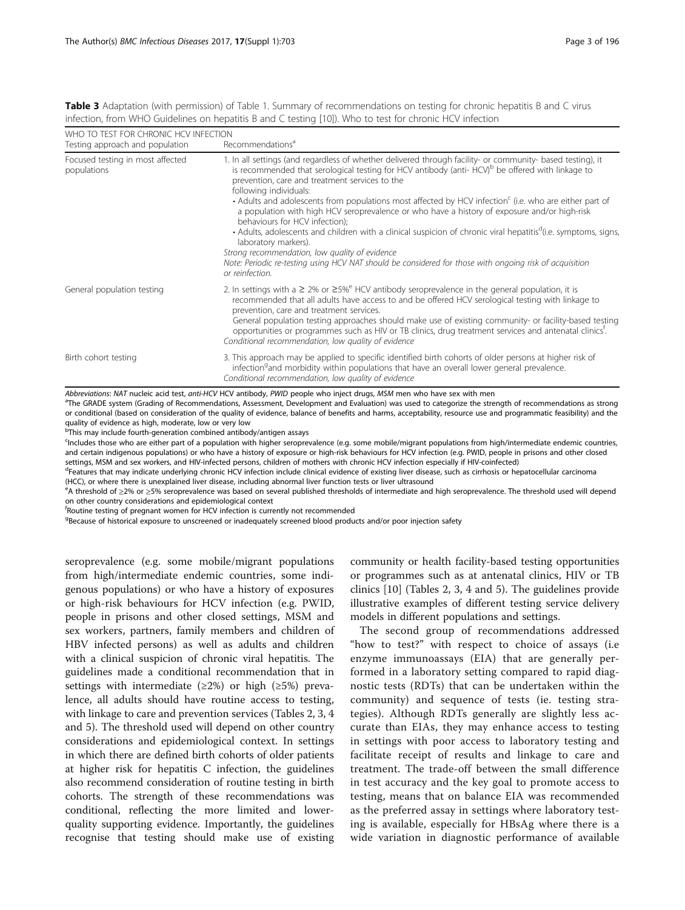WHO TO TEST FOR CHRONIC HCV INFECTION

| VVHU TU TEST FÜR CHRÜNIC HUV INFECTIUN<br>Testing approach and population | Recommendations <sup>a</sup>                                                                                                                                                                                                                                                                                                                                                                                                                                                                                                                                                                                                                                                                                                                                                                                                                                                                         |
|---------------------------------------------------------------------------|------------------------------------------------------------------------------------------------------------------------------------------------------------------------------------------------------------------------------------------------------------------------------------------------------------------------------------------------------------------------------------------------------------------------------------------------------------------------------------------------------------------------------------------------------------------------------------------------------------------------------------------------------------------------------------------------------------------------------------------------------------------------------------------------------------------------------------------------------------------------------------------------------|
| Focused testing in most affected<br>populations                           | 1. In all settings (and regardless of whether delivered through facility- or community- based testing), it<br>is recommended that serological testing for HCV antibody (anti-HCV) <sup>b</sup> be offered with linkage to<br>prevention, care and treatment services to the<br>following individuals:<br>• Adults and adolescents from populations most affected by HCV infection <sup>c</sup> (i.e. who are either part of<br>a population with high HCV seroprevalence or who have a history of exposure and/or high-risk<br>behaviours for HCV infection):<br>• Adults, adolescents and children with a clinical suspicion of chronic viral hepatitis <sup>d</sup> (i.e. symptoms, signs,<br>laboratory markers).<br>Strong recommendation, low quality of evidence<br>Note: Periodic re-testing using HCV NAT should be considered for those with ongoing risk of acquisition<br>or reinfection. |
| General population testing                                                | 2. In settings with a $\geq$ 2% or $\geq$ 5% HCV antibody seroprevalence in the general population, it is<br>recommended that all adults have access to and be offered HCV serological testing with linkage to<br>prevention, care and treatment services.<br>General population testing approaches should make use of existing community- or facility-based testing<br>opportunities or programmes such as HIV or TB clinics, drug treatment services and antenatal clinics <sup>f</sup> .<br>Conditional recommendation, low quality of evidence                                                                                                                                                                                                                                                                                                                                                   |
| Birth cohort testing                                                      | 3. This approach may be applied to specific identified birth cohorts of older persons at higher risk of<br>infection <sup>9</sup> and morbidity within populations that have an overall lower general prevalence.<br>Conditional recommendation, low quality of evidence                                                                                                                                                                                                                                                                                                                                                                                                                                                                                                                                                                                                                             |

<span id="page-2-0"></span>Table 3 Adaptation (with permission) of Table [1.](#page-1-0) Summary of recommendations on testing for chronic hepatitis B and C virus infection, from WHO Guidelines on hepatitis B and C testing [\[10\]](#page-6-0)). Who to test for chronic HCV infection

Abbreviations: NAT nucleic acid test, anti-HCV HCV antibody, PWID people who inject drugs, MSM men who have sex with men <sup>a</sup>The GRADE system (Grading of Recommendations, Assessment, Development and Evaluation) was used to categorize the strength of recommendations as strong or conditional (based on consideration of the quality of evidence, balance of benefits and harms, acceptability, resource use and programmatic feasibility) and the quality of evidence as high, moderate, low or very low

<sup>b</sup>This may include fourth-generation combined antibody/antigen assays

c Includes those who are either part of a population with higher seroprevalence (e.g. some mobile/migrant populations from high/intermediate endemic countries, and certain indigenous populations) or who have a history of exposure or high-risk behaviours for HCV infection (e.g. PWID, people in prisons and other closed settings, MSM and sex workers, and HIV-infected persons, children of mothers with chronic HCV infection especially if HIV-coinfected)

<sup>d</sup>Features that may indicate underlying chronic HCV infection include clinical evidence of existing liver disease, such as cirrhosis or hepatocellular carcinoma

(HCC), or where there is unexplained liver disease, including abnormal liver function tests or liver ultrasound

e A threshold of ≥2% or ≥5% seroprevalence was based on several published thresholds of intermediate and high seroprevalence. The threshold used will depend on other country considerations and epidemiological context

f Routine testing of pregnant women for HCV infection is currently not recommended

<sup>9</sup>Because of historical exposure to unscreened or inadequately screened blood products and/or poor injection safety

seroprevalence (e.g. some mobile/migrant populations from high/intermediate endemic countries, some indigenous populations) or who have a history of exposures or high-risk behaviours for HCV infection (e.g. PWID, people in prisons and other closed settings, MSM and sex workers, partners, family members and children of HBV infected persons) as well as adults and children with a clinical suspicion of chronic viral hepatitis. The guidelines made a conditional recommendation that in settings with intermediate ( $\geq 2\%$ ) or high ( $\geq 5\%$ ) prevalence, all adults should have routine access to testing, with linkage to care and prevention services (Tables [2,](#page-1-0) 3, [4](#page-3-0) and [5\)](#page-4-0). The threshold used will depend on other country considerations and epidemiological context. In settings in which there are defined birth cohorts of older patients at higher risk for hepatitis C infection, the guidelines also recommend consideration of routine testing in birth cohorts. The strength of these recommendations was conditional, reflecting the more limited and lowerquality supporting evidence. Importantly, the guidelines recognise that testing should make use of existing

community or health facility-based testing opportunities or programmes such as at antenatal clinics, HIV or TB clinics [[10](#page-6-0)] (Tables [2,](#page-1-0) 3, [4](#page-3-0) and [5](#page-4-0)). The guidelines provide illustrative examples of different testing service delivery models in different populations and settings.

The second group of recommendations addressed "how to test?" with respect to choice of assays (i.e enzyme immunoassays (EIA) that are generally performed in a laboratory setting compared to rapid diagnostic tests (RDTs) that can be undertaken within the community) and sequence of tests (ie. testing strategies). Although RDTs generally are slightly less accurate than EIAs, they may enhance access to testing in settings with poor access to laboratory testing and facilitate receipt of results and linkage to care and treatment. The trade-off between the small difference in test accuracy and the key goal to promote access to testing, means that on balance EIA was recommended as the preferred assay in settings where laboratory testing is available, especially for HBsAg where there is a wide variation in diagnostic performance of available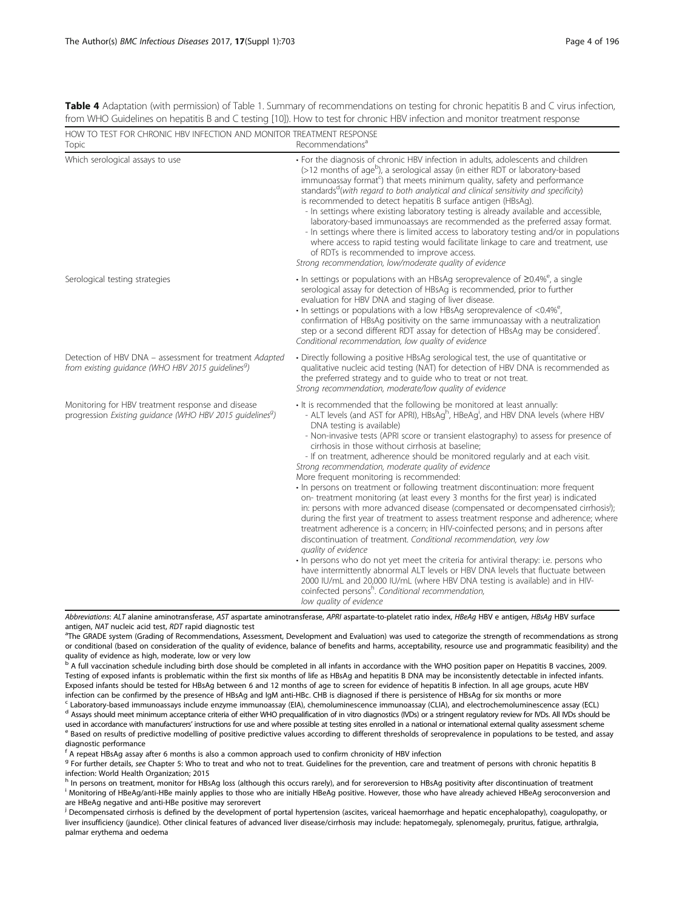<span id="page-3-0"></span>Table 4 Adaptation (with permission) of Table [1](#page-1-0). Summary of recommendations on testing for chronic hepatitis B and C virus infection, from WHO Guidelines on hepatitis B and C testing [\[10\]](#page-6-0)). How to test for chronic HBV infection and monitor treatment response

| HOW TO TEST FOR CHRONIC HBV INFECTION AND MONITOR TREATMENT RESPONSE<br>Recommendations <sup>ª</sup><br>Topic              |                                                                                                                                                                                                                                                                                                                                                                                                                                                                                                                                                                                                                                                                                                                                                                                                                                                                                                                                                                                                                                                                                                                                                                                                                                                                                                                                                                                                                                                                |  |
|----------------------------------------------------------------------------------------------------------------------------|----------------------------------------------------------------------------------------------------------------------------------------------------------------------------------------------------------------------------------------------------------------------------------------------------------------------------------------------------------------------------------------------------------------------------------------------------------------------------------------------------------------------------------------------------------------------------------------------------------------------------------------------------------------------------------------------------------------------------------------------------------------------------------------------------------------------------------------------------------------------------------------------------------------------------------------------------------------------------------------------------------------------------------------------------------------------------------------------------------------------------------------------------------------------------------------------------------------------------------------------------------------------------------------------------------------------------------------------------------------------------------------------------------------------------------------------------------------|--|
| Which serological assays to use                                                                                            | • For the diagnosis of chronic HBV infection in adults, adolescents and children<br>$($ >12 months of age <sup>b</sup> ), a serological assay (in either RDT or laboratory-based<br>immunoassay format <sup>c</sup> ) that meets minimum quality, safety and performance<br>standards <sup>d</sup> (with regard to both analytical and clinical sensitivity and specificity)<br>is recommended to detect hepatitis B surface antigen (HBsAg).<br>- In settings where existing laboratory testing is already available and accessible,<br>laboratory-based immunoassays are recommended as the preferred assay format.<br>- In settings where there is limited access to laboratory testing and/or in populations<br>where access to rapid testing would facilitate linkage to care and treatment, use<br>of RDTs is recommended to improve access.<br>Strong recommendation, low/moderate quality of evidence                                                                                                                                                                                                                                                                                                                                                                                                                                                                                                                                                  |  |
| Serological testing strategies                                                                                             | • In settings or populations with an HBsAg seroprevalence of $\geq 0.4\%^e$ , a single<br>serological assay for detection of HBsAg is recommended, prior to further<br>evaluation for HBV DNA and staging of liver disease.<br>$\cdot$ In settings or populations with a low HBsAg seroprevalence of <0.4% $^{\circ}$ .<br>confirmation of HBsAg positivity on the same immunoassay with a neutralization<br>step or a second different RDT assay for detection of HBsAg may be considered <sup>t</sup> .<br>Conditional recommendation, low quality of evidence                                                                                                                                                                                                                                                                                                                                                                                                                                                                                                                                                                                                                                                                                                                                                                                                                                                                                               |  |
| Detection of HBV DNA - assessment for treatment Adapted<br>from existing quidance (WHO HBV 2015 quidelines <sup>9</sup> )  | • Directly following a positive HBsAg serological test, the use of quantitative or<br>qualitative nucleic acid testing (NAT) for detection of HBV DNA is recommended as<br>the preferred strategy and to guide who to treat or not treat.<br>Strong recommendation, moderate/low quality of evidence                                                                                                                                                                                                                                                                                                                                                                                                                                                                                                                                                                                                                                                                                                                                                                                                                                                                                                                                                                                                                                                                                                                                                           |  |
| Monitoring for HBV treatment response and disease<br>progression Existing guidance (WHO HBV 2015 guidelines <sup>9</sup> ) | • It is recommended that the following be monitored at least annually:<br>- ALT levels (and AST for APRI), HBsAg <sup>h</sup> , HBeAg <sup>i</sup> , and HBV DNA levels (where HBV<br>DNA testing is available)<br>- Non-invasive tests (APRI score or transient elastography) to assess for presence of<br>cirrhosis in those without cirrhosis at baseline;<br>- If on treatment, adherence should be monitored regularly and at each visit.<br>Strong recommendation, moderate quality of evidence<br>More frequent monitoring is recommended:<br>• In persons on treatment or following treatment discontinuation: more frequent<br>on-treatment monitoring (at least every 3 months for the first year) is indicated<br>in: persons with more advanced disease (compensated or decompensated cirrhosis <sup>)</sup> );<br>during the first year of treatment to assess treatment response and adherence; where<br>treatment adherence is a concern; in HIV-coinfected persons; and in persons after<br>discontinuation of treatment. Conditional recommendation, very low<br>quality of evidence<br>. In persons who do not yet meet the criteria for antiviral therapy: i.e. persons who<br>have intermittently abnormal ALT levels or HBV DNA levels that fluctuate between<br>2000 IU/mL and 20,000 IU/mL (where HBV DNA testing is available) and in HIV-<br>coinfected persons <sup>h</sup> . Conditional recommendation,<br>low quality of evidence |  |

Abbreviations: ALT alanine aminotransferase, AST aspartate aminotransferase, APRI aspartate-to-platelet ratio index, HBeAg HBV e antigen, HBsAg HBV surface antigen, NAT nucleic acid test, RDT rapid diagnostic test

<sup>a</sup>The GRADE system (Grading of Recommendations, Assessment, Development and Evaluation) was used to categorize the strength of recommendations as strong or conditional (based on consideration of the quality of evidence, balance of benefits and harms, acceptability, resource use and programmatic feasibility) and the quality of evidence as high, moderate, low or very low

<sup>b</sup> A full vaccination schedule including birth dose should be completed in all infants in accordance with the WHO position paper on Hepatitis B vaccines, 2009. Testing of exposed infants is problematic within the first six months of life as HBsAg and hepatitis B DNA may be inconsistently detectable in infected infants. Exposed infants should be tested for HBsAg between 6 and 12 months of age to screen for evidence of hepatitis B infection. In all age groups, acute HBV infection can be confirmed by the presence of HBsAg and IgM anti-HBc. CHB is diagnosed if there is persistence of HBsAg for six months or more<br><sup>c</sup> Laboratory-based immunoassays include enzyme immunoassay (EIA), chemolumine

<sup>d</sup> Assays should meet minimum acceptance criteria of either WHO prequalification of in vitro diagnostics (IVDs) or a stringent regulatory review for IVDs. All IVDs should be used in accordance with manufacturers' instructions for use and where possible at testing sites enrolled in a national or international external quality assessment scheme<br><sup>e</sup> Based on results of predictive modelling of pos diagnostic performance

<sup>f</sup> A repeat HBsAg assay after 6 months is also a common approach used to confirm chronicity of HBV infection

<sup>g</sup> For further details, see Chapter 5: Who to treat and who not to treat. Guidelines for the prevention, care and treatment of persons with chronic hepatitis B infection: World Health Organization; 2015

h In persons on treatment, monitor for HBsAg loss (although this occurs rarely), and for seroreversion to HBsAg positivity after discontinuation of treatment i Monitoring of HBeAg/anti-HBe mainly applies to those who are initially HBeAg positive. However, those who have already achieved HBeAg seroconversion and are HBeAg negative and anti-HBe positive may serorevert

j Decompensated cirrhosis is defined by the development of portal hypertension (ascites, variceal haemorrhage and hepatic encephalopathy), coagulopathy, or liver insufficiency (jaundice). Other clinical features of advanced liver disease/cirrhosis may include: hepatomegaly, splenomegaly, pruritus, fatigue, arthralgia, palmar erythema and oedema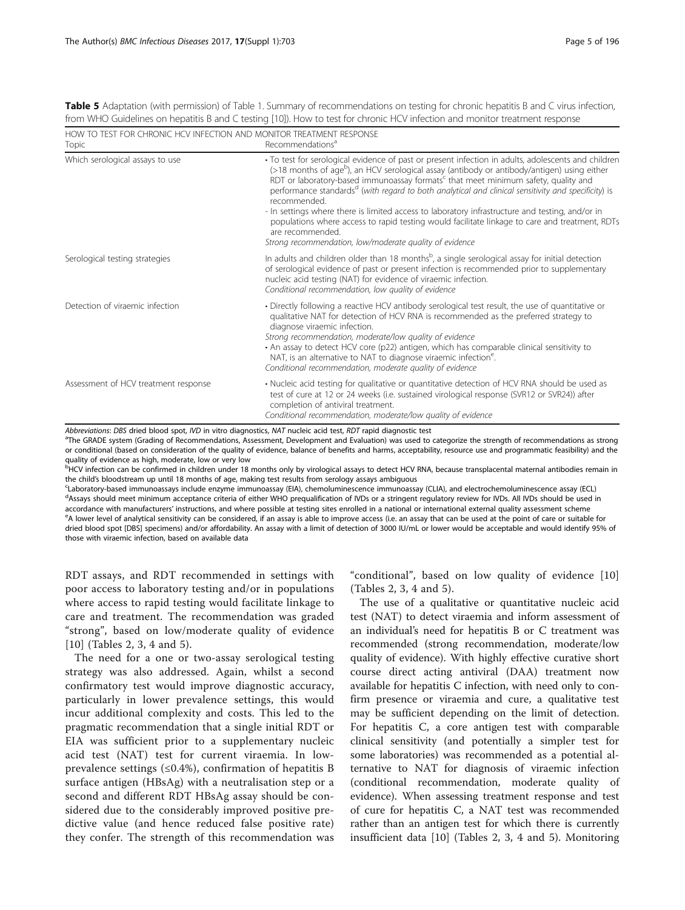<span id="page-4-0"></span>Table 5 Adaptation (with permission) of Table [1](#page-1-0). Summary of recommendations on testing for chronic hepatitis B and C virus infection, from WHO Guidelines on hepatitis B and C testing [\[10\]](#page-6-0)). How to test for chronic HCV infection and monitor treatment response

| HOW TO TEST FOR CHRONIC HCV INFECTION AND MONITOR TREATMENT RESPONSE |                                                                                                                                                                                                                                                                                                                                                                                                                                                                                                                                                                                                                                                                                                                                            |  |
|----------------------------------------------------------------------|--------------------------------------------------------------------------------------------------------------------------------------------------------------------------------------------------------------------------------------------------------------------------------------------------------------------------------------------------------------------------------------------------------------------------------------------------------------------------------------------------------------------------------------------------------------------------------------------------------------------------------------------------------------------------------------------------------------------------------------------|--|
| Topic                                                                | Recommendations <sup>a</sup>                                                                                                                                                                                                                                                                                                                                                                                                                                                                                                                                                                                                                                                                                                               |  |
| Which serological assays to use                                      | • To test for serological evidence of past or present infection in adults, adolescents and children<br>( $>18$ months of age <sup>b</sup> ), an HCV serological assay (antibody or antibody/antigen) using either<br>RDT or laboratory-based immunoassay formats <sup>c</sup> that meet minimum safety, quality and<br>performance standards <sup>d</sup> (with regard to both analytical and clinical sensitivity and specificity) is<br>recommended.<br>- In settings where there is limited access to laboratory infrastructure and testing, and/or in<br>populations where access to rapid testing would facilitate linkage to care and treatment, RDTs<br>are recommended.<br>Strong recommendation, low/moderate quality of evidence |  |
| Serological testing strategies                                       | In adults and children older than 18 months <sup>b</sup> , a single serological assay for initial detection<br>of serological evidence of past or present infection is recommended prior to supplementary<br>nucleic acid testing (NAT) for evidence of viraemic infection.<br>Conditional recommendation, low quality of evidence                                                                                                                                                                                                                                                                                                                                                                                                         |  |
| Detection of viraemic infection                                      | • Directly following a reactive HCV antibody serological test result, the use of quantitative or<br>qualitative NAT for detection of HCV RNA is recommended as the preferred strategy to<br>diagnose viraemic infection.<br>Strong recommendation, moderate/low quality of evidence<br>• An assay to detect HCV core (p22) antigen, which has comparable clinical sensitivity to<br>NAT, is an alternative to NAT to diagnose viraemic infection <sup>e</sup> .<br>Conditional recommendation, moderate quality of evidence                                                                                                                                                                                                                |  |
| Assessment of HCV treatment response                                 | • Nucleic acid testing for qualitative or quantitative detection of HCV RNA should be used as<br>test of cure at 12 or 24 weeks (i.e. sustained virological response (SVR12 or SVR24)) after<br>completion of antiviral treatment.<br>Conditional recommendation, moderate/low quality of evidence                                                                                                                                                                                                                                                                                                                                                                                                                                         |  |

Abbreviations: DBS dried blood spot, IVD in vitro diagnostics, NAT nucleic acid test, RDT rapid diagnostic test

<sup>a</sup>The GRADE system (Grading of Recommendations, Assessment, Development and Evaluation) was used to categorize the strength of recommendations as strong or conditional (based on consideration of the quality of evidence, balance of benefits and harms, acceptability, resource use and programmatic feasibility) and the quality of evidence as high, moderate, low or very low

<sup>b</sup>HCV infection can be confirmed in children under 18 months only by virological assays to detect HCV RNA, because transplacental maternal antibodies remain in the child's bloodstream up until 18 months of age, making test results from serology assays ambiguous <sup>c</sup>

Laboratory-based immunoassays include enzyme immunoassay (EIA), chemoluminescence immunoassay (CLIA), and electrochemoluminescence assay (ECL) d<br>Assays should meet minimum acceptance criteria of either WHO prequalification of IVDs or a stringent regulatory review for IVDs. All IVDs should be used in accordance with manufacturers' instructions, and where possible at testing sites enrolled in a national or international external quality assessment scheme <sup>e</sup>A lower level of analytical sensitivity can be considered, if an assay is able to improve access (i.e. an assay that can be used at the point of care or suitable for dried blood spot [DBS] specimens) and/or affordability. An assay with a limit of detection of 3000 IU/mL or lower would be acceptable and would identify 95% of those with viraemic infection, based on available data

RDT assays, and RDT recommended in settings with poor access to laboratory testing and/or in populations where access to rapid testing would facilitate linkage to care and treatment. The recommendation was graded "strong", based on low/moderate quality of evidence [[10](#page-6-0)] (Tables [2](#page-1-0), [3,](#page-2-0) [4](#page-3-0) and 5).

The need for a one or two-assay serological testing strategy was also addressed. Again, whilst a second confirmatory test would improve diagnostic accuracy, particularly in lower prevalence settings, this would incur additional complexity and costs. This led to the pragmatic recommendation that a single initial RDT or EIA was sufficient prior to a supplementary nucleic acid test (NAT) test for current viraemia. In lowprevalence settings  $(\leq 0.4\%)$ , confirmation of hepatitis B surface antigen (HBsAg) with a neutralisation step or a second and different RDT HBsAg assay should be considered due to the considerably improved positive predictive value (and hence reduced false positive rate) they confer. The strength of this recommendation was "conditional", based on low quality of evidence [\[10](#page-6-0)] (Tables [2,](#page-1-0) [3,](#page-2-0) [4](#page-3-0) and 5).

The use of a qualitative or quantitative nucleic acid test (NAT) to detect viraemia and inform assessment of an individual's need for hepatitis B or C treatment was recommended (strong recommendation, moderate/low quality of evidence). With highly effective curative short course direct acting antiviral (DAA) treatment now available for hepatitis C infection, with need only to confirm presence or viraemia and cure, a qualitative test may be sufficient depending on the limit of detection. For hepatitis C, a core antigen test with comparable clinical sensitivity (and potentially a simpler test for some laboratories) was recommended as a potential alternative to NAT for diagnosis of viraemic infection (conditional recommendation, moderate quality of evidence). When assessing treatment response and test of cure for hepatitis C, a NAT test was recommended rather than an antigen test for which there is currently insufficient data [\[10\]](#page-6-0) (Tables [2,](#page-1-0) [3,](#page-2-0) [4](#page-3-0) and 5). Monitoring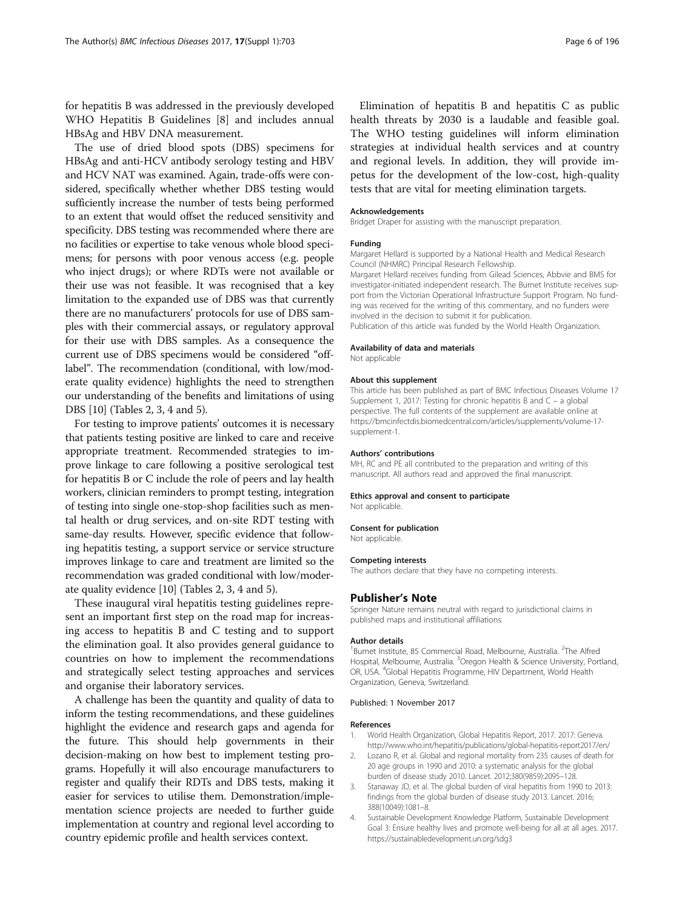<span id="page-5-0"></span>for hepatitis B was addressed in the previously developed WHO Hepatitis B Guidelines [\[8](#page-6-0)] and includes annual HBsAg and HBV DNA measurement.

The use of dried blood spots (DBS) specimens for HBsAg and anti-HCV antibody serology testing and HBV and HCV NAT was examined. Again, trade-offs were considered, specifically whether whether DBS testing would sufficiently increase the number of tests being performed to an extent that would offset the reduced sensitivity and specificity. DBS testing was recommended where there are no facilities or expertise to take venous whole blood specimens; for persons with poor venous access (e.g. people who inject drugs); or where RDTs were not available or their use was not feasible. It was recognised that a key limitation to the expanded use of DBS was that currently there are no manufacturers' protocols for use of DBS samples with their commercial assays, or regulatory approval for their use with DBS samples. As a consequence the current use of DBS specimens would be considered "offlabel". The recommendation (conditional, with low/moderate quality evidence) highlights the need to strengthen our understanding of the benefits and limitations of using DBS [\[10\]](#page-6-0) (Tables [2](#page-1-0), [3](#page-2-0), [4](#page-3-0) and [5](#page-4-0)).

For testing to improve patients' outcomes it is necessary that patients testing positive are linked to care and receive appropriate treatment. Recommended strategies to improve linkage to care following a positive serological test for hepatitis B or C include the role of peers and lay health workers, clinician reminders to prompt testing, integration of testing into single one-stop-shop facilities such as mental health or drug services, and on-site RDT testing with same-day results. However, specific evidence that following hepatitis testing, a support service or service structure improves linkage to care and treatment are limited so the recommendation was graded conditional with low/moderate quality evidence [\[10\]](#page-6-0) (Tables [2](#page-1-0), [3,](#page-2-0) [4](#page-3-0) and [5](#page-4-0)).

These inaugural viral hepatitis testing guidelines represent an important first step on the road map for increasing access to hepatitis B and C testing and to support the elimination goal. It also provides general guidance to countries on how to implement the recommendations and strategically select testing approaches and services and organise their laboratory services.

A challenge has been the quantity and quality of data to inform the testing recommendations, and these guidelines highlight the evidence and research gaps and agenda for the future. This should help governments in their decision-making on how best to implement testing programs. Hopefully it will also encourage manufacturers to register and qualify their RDTs and DBS tests, making it easier for services to utilise them. Demonstration/implementation science projects are needed to further guide implementation at country and regional level according to country epidemic profile and health services context.

Elimination of hepatitis B and hepatitis C as public health threats by 2030 is a laudable and feasible goal. The WHO testing guidelines will inform elimination strategies at individual health services and at country and regional levels. In addition, they will provide impetus for the development of the low-cost, high-quality tests that are vital for meeting elimination targets.

## Acknowledgements

Bridget Draper for assisting with the manuscript preparation.

#### Funding

Margaret Hellard is supported by a National Health and Medical Research Council (NHMRC) Principal Research Fellowship.

Margaret Hellard receives funding from Gilead Sciences, Abbvie and BMS for investigator-initiated independent research. The Burnet Institute receives support from the Victorian Operational Infrastructure Support Program. No funding was received for the writing of this commentary, and no funders were involved in the decision to submit it for publication.

Publication of this article was funded by the World Health Organization.

#### Availability of data and materials

Not applicable

## About this supplement

This article has been published as part of BMC Infectious Diseases Volume 17 Supplement 1, 2017: Testing for chronic hepatitis B and C – a global perspective. The full contents of the supplement are available online at [https://bmcinfectdis.biomedcentral.com/articles/supplements/volume-17](https://bmcinfectdis.biomedcentral.com/articles/supplements/volume-17-supplement-1) [supplement-1](https://bmcinfectdis.biomedcentral.com/articles/supplements/volume-17-supplement-1).

#### Authors' contributions

MH, RC and PE all contributed to the preparation and writing of this manuscript. All authors read and approved the final manuscript.

## Ethics approval and consent to participate

Consent for publication Not applicable.

Not applicable.

# Competing interests

The authors declare that they have no competing interests.

## Publisher's Note

Springer Nature remains neutral with regard to jurisdictional claims in published maps and institutional affiliations.

#### Author details

<sup>1</sup>Burnet Institute, 85 Commercial Road, Melbourne, Australia. <sup>2</sup>The Alfred Hospital, Melbourne, Australia. <sup>3</sup>Oregon Health & Science University, Portland, OR, USA. <sup>4</sup>Global Hepatitis Programme, HIV Department, World Health Organization, Geneva, Switzerland.

#### Published: 1 November 2017

## References

- 1. World Health Organization, Global Hepatitis Report, 2017. 2017: Geneva. [http://www.who.int/hepatitis/publications/global-hepatitis-report2017/en/](http://www.who.int/hepatitis/publications/global-hepatitis-report2017/en)
- 2. Lozano R, et al. Global and regional mortality from 235 causes of death for 20 age groups in 1990 and 2010: a systematic analysis for the global burden of disease study 2010. Lancet. 2012;380(9859):2095–128.
- 3. Stanaway JD, et al. The global burden of viral hepatitis from 1990 to 2013: findings from the global burden of disease study 2013. Lancet. 2016; 388(10049):1081–8.
- 4. Sustainable Development Knowledge Platform, Sustainable Development Goal 3: Ensure healthy lives and promote well-being for all at all ages. 2017. <https://sustainabledevelopment.un.org/sdg3>